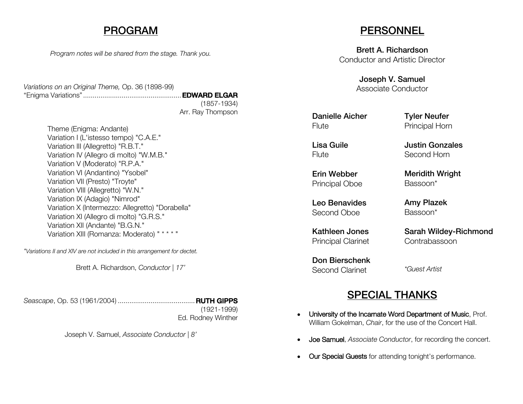### PROGRAM

*Program notes will be shared from the stage. Thank you.*

*Variations on an Original Theme,* Op. 36 (1898-99) "Enigma Variations"...................................................EDWARD ELGAR (1857-1934) Arr. Ray Thompson

> Theme (Enigma: Andante) Variation I (L'istesso tempo) "C.A.E." Variation III (Allegretto) "R.B.T." Variation IV (Allegro di molto) "W.M.B." Variation V (Moderato) "R.P.A." Variation VI (Andantino) "Ysobel" Variation VII (Presto) "Troyte" Variation VIII (Allegretto) "W.N." Variation IX (Adagio) "Nimrod" Variation X (Intermezzo: Allegretto) "Dorabella" Variation XI (Allegro di molto) "G.R.S." Variation XII (Andante) "B.G.N." Variation XIII (Romanza: Moderato) " \* \* \* "

*\*Variations II and XIV are not included in this arrangement for dectet.*

Brett A. Richardson, *Conductor | 17'*

*Seascape*, Op. 53 (1961/2004) ........................................RUTH GIPPS

(1921-1999) Ed. Rodney Winther

Joseph V. Samuel, *Associate Conductor | 8'*

### **PERSONNEL**

Brett A. Richardson Conductor and Artistic Director

> Joseph V. Samuel Associate Conductor

Danielle Aicher **Flute** 

Tyler Neufer Principal Horn

Justin Gonzales Second Horn

Meridith Wright

Sarah Wildey-Richmond

Bassoon\*

Amy Plazek Bassoon\*

Contrabassoon

Lisa Guile **Flute** 

Erin Webber Principal Oboe

Leo Benavides Second Oboe

Kathleen Jones Principal Clarinet

Don Bierschenk Second Clarinet

*\*Guest Artist*

### SPECIAL THANKS

- University of the Incarnate Word Department of Music, Prof. William Gokelman, *Chair*, for the use of the Concert Hall.
- Joe Samuel, *Associate Conductor*, for recording the concert.
- Our Special Guests for attending tonight's performance.